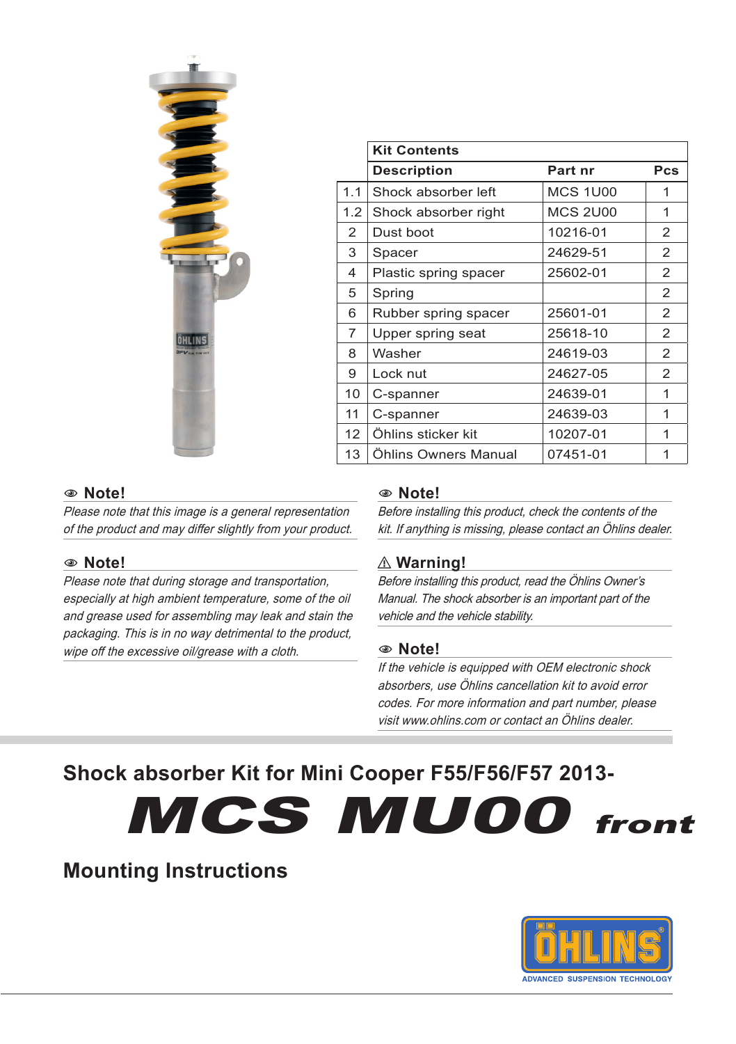

|                | <b>Kit Contents</b>   |                 |                |
|----------------|-----------------------|-----------------|----------------|
|                | <b>Description</b>    | Part nr         | <b>Pcs</b>     |
| 1.1            | Shock absorber left   | <b>MCS 1U00</b> | 1              |
| 1.2            | Shock absorber right  | <b>MCS 2U00</b> | 1              |
| 2              | Dust boot             | 10216-01        | 2              |
| 3              | Spacer                | 24629-51        | 2              |
| 4              | Plastic spring spacer | 25602-01        | $\mathcal{P}$  |
| 5              | Spring                |                 | 2              |
| 6              | Rubber spring spacer  | 25601-01        | 2              |
| $\overline{7}$ | Upper spring seat     | 25618-10        | 2              |
| 8              | Washer                | 24619-03        | $\overline{2}$ |
| 9              | Lock nut              | 24627-05        | $\overline{2}$ |
| 10             | C-spanner             | 24639-01        | 1              |
| 11             | C-spanner             | 24639-03        | 1              |
| 12             | Öhlins sticker kit    | 10207-01        | 1              |
| 13             | Öhlins Owners Manual  | 07451-01        | 1              |

#### 1 **Note!**

Please note that this image is a general representation of the product and may differ slightly from your product.

#### 1 **Note!**

Please note that during storage and transportation, especially at high ambient temperature, some of the oil and grease used for assembling may leak and stain the packaging. This is in no way detrimental to the product, wipe off the excessive oil/grease with a cloth.

#### 1 **Note!**

Before installing this product, check the contents of the kit. If anything is missing, please contact an Öhlins dealer.

#### ⚠ **Warning!**

Before installing this product, read the Öhlins Owner's Manual. The shock absorber is an important part of the vehicle and the vehicle stability.

#### 1 **Note!**

If the vehicle is equipped with OEM electronic shock absorbers, use Öhlins cancellation kit to avoid error codes. For more information and part number, please visit www.ohlins.com or contact an Öhlins dealer.

# **Shock absorber Kit for Mini Cooper F55/F56/F57 2013-**

MCS MU00 front

# **Mounting Instructions**

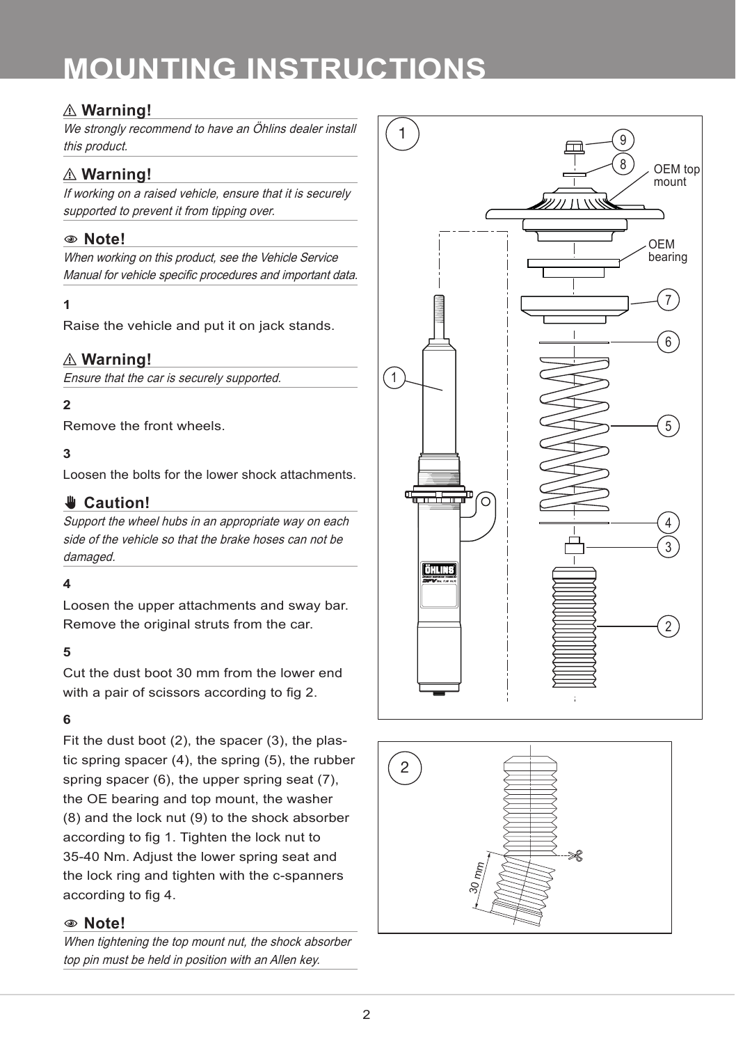## ⚠ **Warning!**

We strongly recommend to have an Öhlins dealer install this product.

## ⚠ **Warning!**

If working on a raised vehicle, ensure that it is securely supported to prevent it from tipping over.

### 1 **Note!**

When working on this product, see the Vehicle Service Manual for vehicle specific procedures and important data.

#### **1**

Raise the vehicle and put it on jack stands.

### ⚠ **Warning!**

Ensure that the car is securely supported.

### **2**

Remove the front wheels.

#### **3**

Loosen the bolts for the lower shock attachments.

#### ✋ **Caution!**

Support the wheel hubs in an appropriate way on each side of the vehicle so that the brake hoses can not be damaged.

#### **4**

Loosen the upper attachments and sway bar. Remove the original struts from the car.

#### **5**

Cut the dust boot 30 mm from the lower end with a pair of scissors according to fig 2.

#### **6**

Fit the dust boot (2), the spacer (3), the plastic spring spacer (4), the spring (5), the rubber spring spacer (6), the upper spring seat (7), the OE bearing and top mount, the washer (8) and the lock nut (9) to the shock absorber according to fig 1. Tighten the lock nut to 35-40 Nm. Adjust the lower spring seat and the lock ring and tighten with the c-spanners according to fig 4.

#### 1 **Note!**

When tightening the top mount nut, the shock absorber top pin must be held in position with an Allen key.



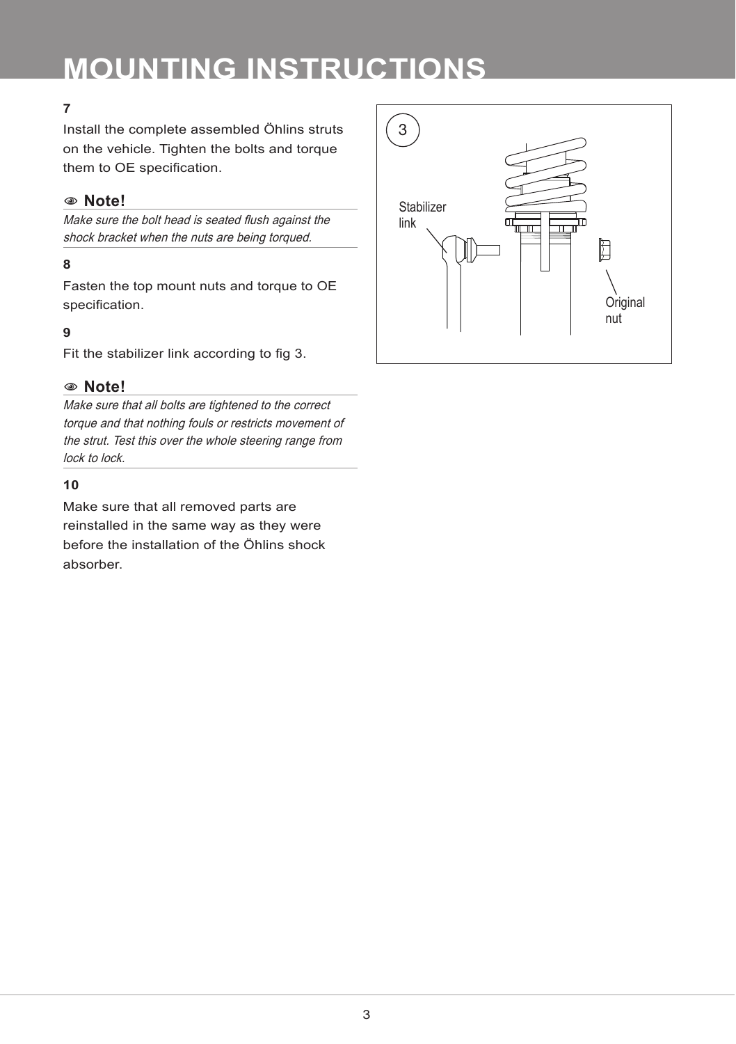#### **7**

Install the complete assembled Öhlins struts on the vehicle. Tighten the bolts and torque them to OE specification.

#### 1 **Note!**

Make sure the bolt head is seated flush against the shock bracket when the nuts are being torqued.

#### **8**

Fasten the top mount nuts and torque to OE specification.

#### **9**

Fit the stabilizer link according to fig 3.

#### 1 **Note!**

Make sure that all bolts are tightened to the correct torque and that nothing fouls or restricts movement of the strut. Test this over the whole steering range from lock to lock.

#### **10**

Make sure that all removed parts are reinstalled in the same way as they were before the installation of the Öhlins shock absorber.

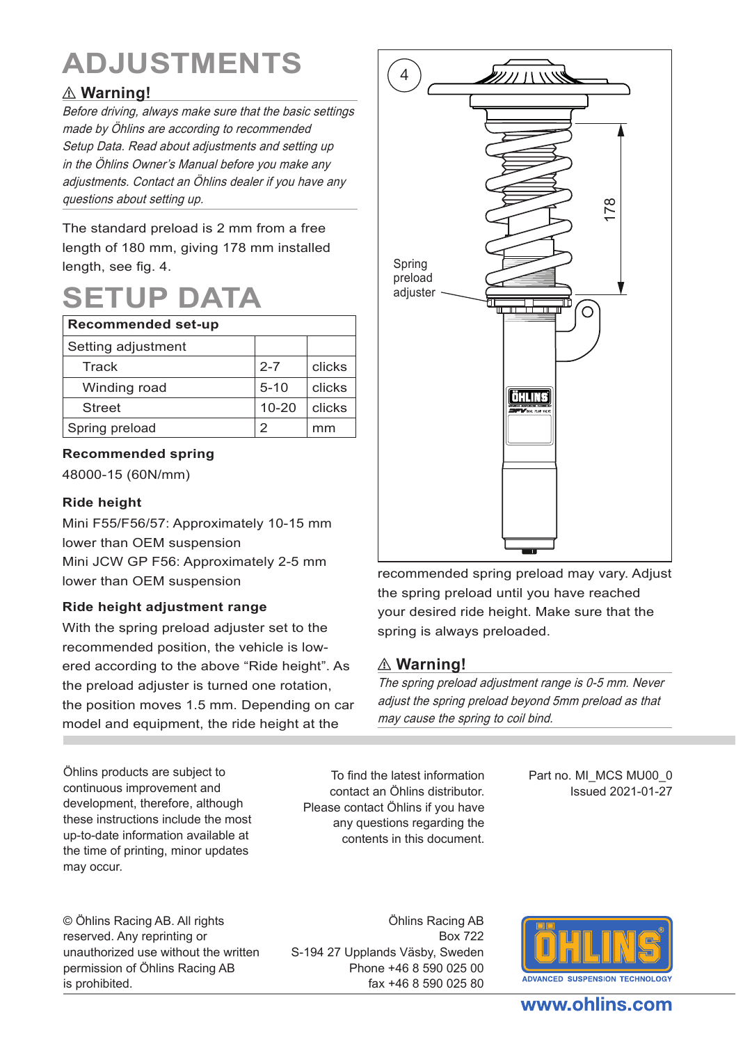# **ADJUSTMENTS**

# ⚠ **Warning!**

Before driving, always make sure that the basic settings made by Öhlins are according to recommended Setup Data. Read about adjustments and setting up in the Öhlins Owner's Manual before you make any adjustments. Contact an Öhlins dealer if you have any questions about setting up.

The standard preload is 2 mm from a free length of 180 mm, giving 178 mm installed length, see fig. 4.

# **SETUP DATA**

| Recommended set-up |           |        |  |
|--------------------|-----------|--------|--|
| Setting adjustment |           |        |  |
| Track              | $2 - 7$   | clicks |  |
| Winding road       | $5 - 10$  | clicks |  |
| <b>Street</b>      | $10 - 20$ | clicks |  |
| Spring preload     |           | mm     |  |

#### **Recommended spring**

48000-15 (60N/mm)

#### **Ride height**

Mini F55/F56/57: Approximately 10-15 mm lower than OEM suspension Mini JCW GP F56: Approximately 2-5 mm

#### **Ride height adjustment range**

With the spring preload adjuster set to the recommended position, the vehicle is lowered according to the above "Ride height". As the preload adjuster is turned one rotation, the position moves 1.5 mm. Depending on car model and equipment, the ride height at the

Öhlins products are subject to continuous improvement and development, therefore, although these instructions include the most up-to-date information available at the time of printing, minor updates may occur.

© Öhlins Racing AB. All rights reserved. Any reprinting or unauthorized use without the written permission of Öhlins Racing AB is prohibited.

Öhlins Racing AB Box 722 S-194 27 Upplands Väsby, Sweden Phone +46 8 590 025 00 fax +46 8 590 025 80



lower than OEM suspension recommended spring preload may vary. Adjust the spring preload until you have reached your desired ride height. Make sure that the spring is always preloaded.

### ⚠ **Warning!**

The spring preload adjustment range is 0-5 mm. Never adjust the spring preload beyond 5mm preload as that may cause the spring to coil bind.

To find the latest information contact an Öhlins distributor. Please contact Öhlins if you have any questions regarding the contents in this document.

Part no. MI\_MCS MU00\_0 Issued 2021-01-27



#### www.ohlins.com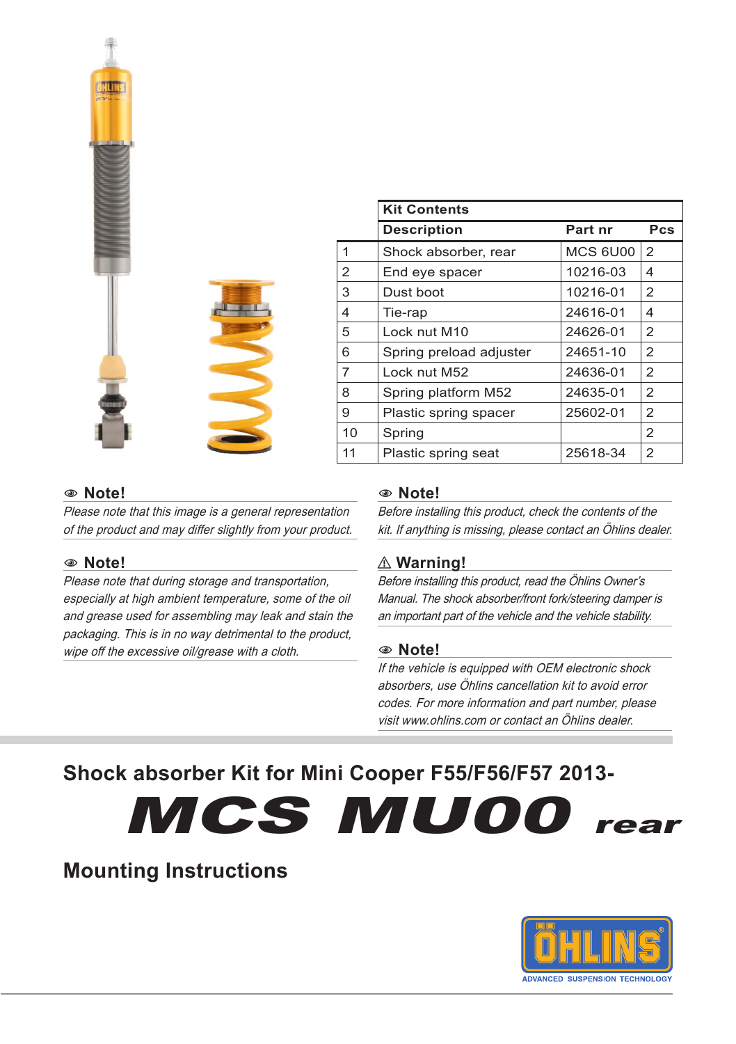|   | $\mathbf{r}$ |
|---|--------------|
| ı | G.           |
|   |              |

|    | <b>Kit Contents</b>     |          |                |  |
|----|-------------------------|----------|----------------|--|
|    | <b>Description</b>      | Part nr  | Pcs            |  |
| 1  | Shock absorber, rear    | MCS 6U00 | $\overline{2}$ |  |
| 2  | End eye spacer          | 10216-03 | 4              |  |
| 3  | Dust boot               | 10216-01 | 2              |  |
| 4  | Tie-rap                 | 24616-01 | 4              |  |
| 5  | Lock nut M10            | 24626-01 | 2              |  |
| 6  | Spring preload adjuster | 24651-10 | 2              |  |
| 7  | Lock nut M52            | 24636-01 | 2              |  |
| 8  | Spring platform M52     | 24635-01 | 2              |  |
| 9  | Plastic spring spacer   | 25602-01 | 2              |  |
| 10 | Spring                  |          | $\overline{2}$ |  |
| 11 | Plastic spring seat     | 25618-34 | 2              |  |
|    |                         |          |                |  |

#### 1 **Note!**

Please note that this image is a general representation of the product and may differ slightly from your product.

#### 1 **Note!**

Please note that during storage and transportation, especially at high ambient temperature, some of the oil and grease used for assembling may leak and stain the packaging. This is in no way detrimental to the product, wipe off the excessive oil/grease with a cloth.

#### 1 **Note!**

Before installing this product, check the contents of the kit. If anything is missing, please contact an Öhlins dealer.

#### ⚠ **Warning!**

Before installing this product, read the Öhlins Owner's Manual. The shock absorber/front fork/steering damper is an important part of the vehicle and the vehicle stability.

#### 1 **Note!**

If the vehicle is equipped with OEM electronic shock absorbers, use Öhlins cancellation kit to avoid error codes. For more information and part number, please visit www.ohlins.com or contact an Öhlins dealer.

# **Shock absorber Kit for Mini Cooper F55/F56/F57 2013-**

MCS MU00 rear

# **Mounting Instructions**

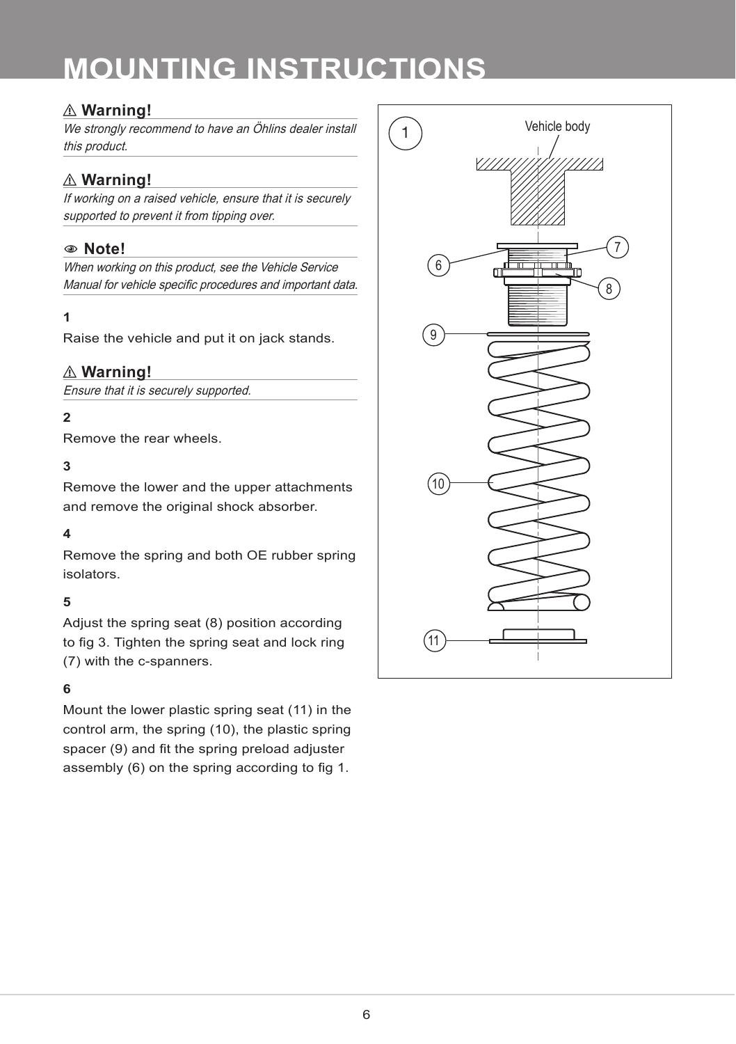## ⚠ **Warning!**

We strongly recommend to have an Öhlins dealer install this product.

## ⚠ **Warning!**

If working on a raised vehicle, ensure that it is securely supported to prevent it from tipping over.

#### 1 **Note!**

When working on this product, see the Vehicle Service Manual for vehicle specific procedures and important data.

#### **1**

Raise the vehicle and put it on jack stands.

#### ⚠ **Warning!**

Ensure that it is securely supported.

#### **2**

Remove the rear wheels.

#### **3**

Remove the lower and the upper attachments and remove the original shock absorber.

#### **4**

Remove the spring and both OE rubber spring isolators.

#### **5**

Adjust the spring seat (8) position according to fig 3. Tighten the spring seat and lock ring (7) with the c-spanners.

#### **6**

Mount the lower plastic spring seat (11) in the control arm, the spring (10), the plastic spring spacer (9) and fit the spring preload adjuster assembly (6) on the spring according to fig 1.

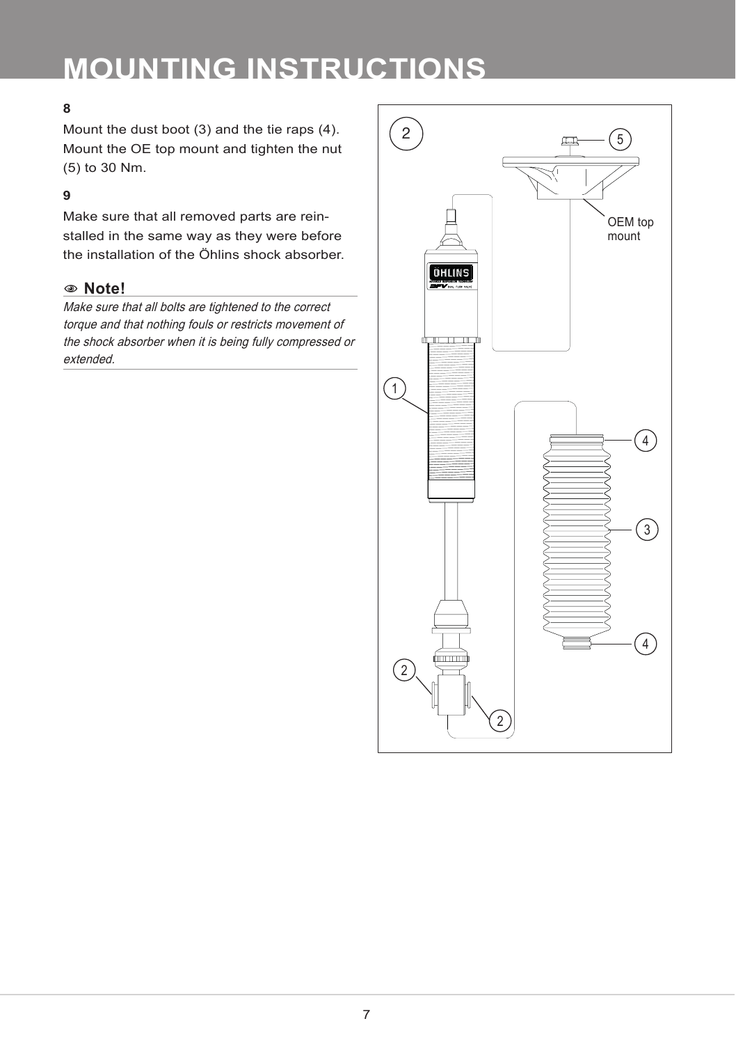### **8**

Mount the dust boot (3) and the tie raps (4). Mount the OE top mount and tighten the nut (5) to 30 Nm.

### **9**

Make sure that all removed parts are reinstalled in the same way as they were before the installation of the Öhlins shock absorber.

#### 1 **Note!**

Make sure that all bolts are tightened to the correct torque and that nothing fouls or restricts movement of the shock absorber when it is being fully compressed or extended.